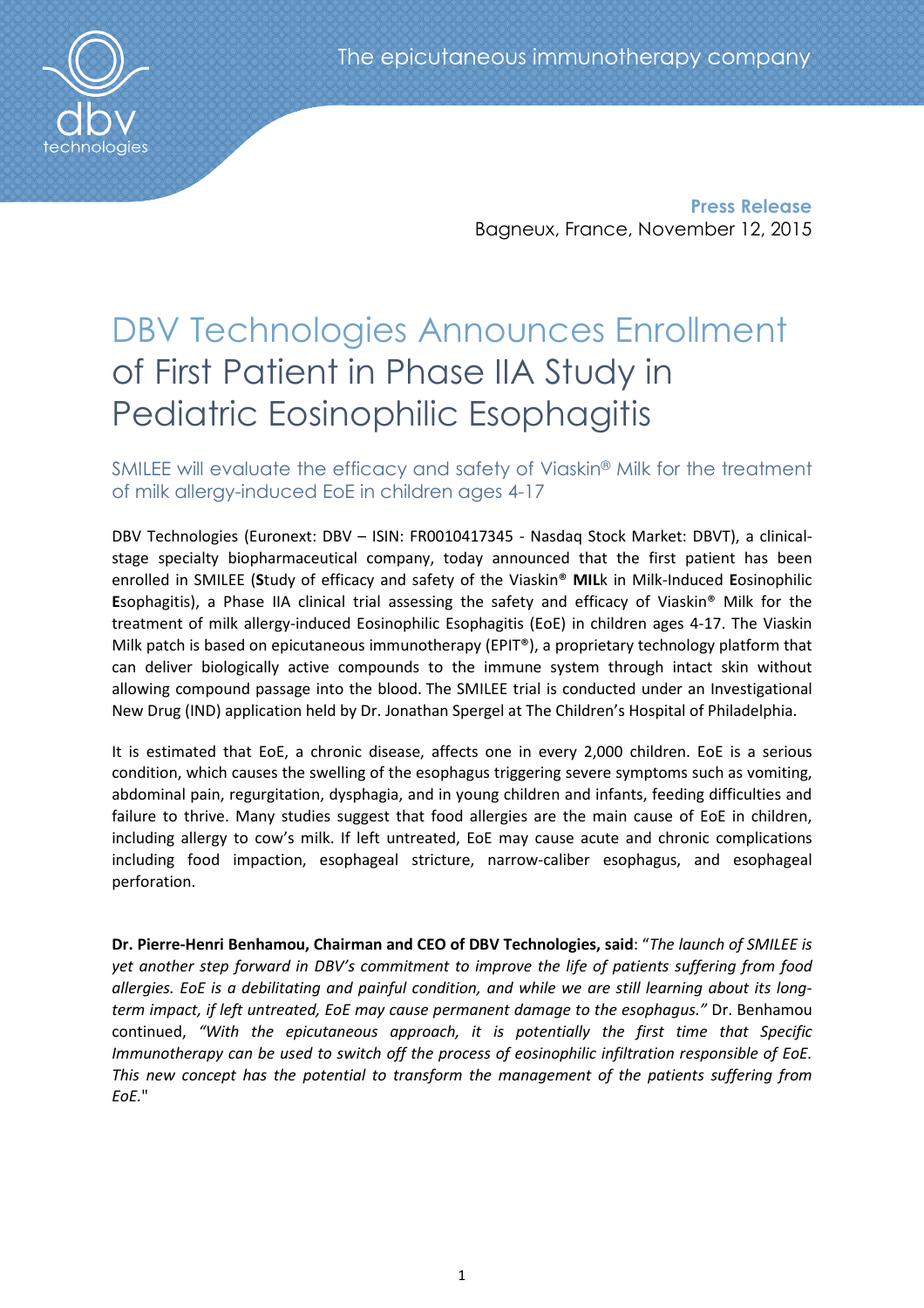

 **Press Release** Bagneux, France, November 12, 2015

# DBV Technologies Announces Enrollment of First Patient in Phase IIA Study in Pediatric Eosinophilic Esophagitis

# SMILEE will evaluate the efficacy and safety of Viaskin® Milk for the treatment of milk allergy-induced EoE in children ages 4-17

DBV Technologies (Euronext: DBV – ISIN: FR0010417345 - Nasdaq Stock Market: DBVT), a clinicalstage specialty biopharmaceutical company, today announced that the first patient has been enrolled in SMILEE (**S**tudy of efficacy and safety of the Viaskin® **MIL**k in Milk-Induced **E**osinophilic **E**sophagitis), a Phase IIA clinical trial assessing the safety and efficacy of Viaskin® Milk for the treatment of milk allergy-induced Eosinophilic Esophagitis (EoE) in children ages 4-17. The Viaskin Milk patch is based on epicutaneous immunotherapy (EPIT®), a proprietary technology platform that can deliver biologically active compounds to the immune system through intact skin without allowing compound passage into the blood. The SMILEE trial is conducted under an Investigational New Drug (IND) application held by Dr. Jonathan Spergel at The Children's Hospital of Philadelphia.

It is estimated that EoE, a chronic disease, affects one in every 2,000 children. EoE is a serious condition, which causes the swelling of the esophagus triggering severe symptoms such as vomiting, abdominal pain, regurgitation, dysphagia, and in young children and infants, feeding difficulties and failure to thrive. Many studies suggest that food allergies are the main cause of EoE in children, including allergy to cow's milk. If left untreated, EoE may cause acute and chronic complications including food impaction, esophageal stricture, narrow-caliber esophagus, and esophageal perforation.

**Dr. Pierre-Henri Benhamou, Chairman and CEO of DBV Technologies, said**: "*The launch of SMILEE is yet another step forward in DBV's commitment to improve the life of patients suffering from food allergies. EoE is a debilitating and painful condition, and while we are still learning about its longterm impact, if left untreated, EoE may cause permanent damage to the esophagus."* Dr. Benhamou continued, *"With the epicutaneous approach, it is potentially the first time that Specific Immunotherapy can be used to switch off the process of eosinophilic infiltration responsible of EoE. This new concept has the potential to transform the management of the patients suffering from EoE.*"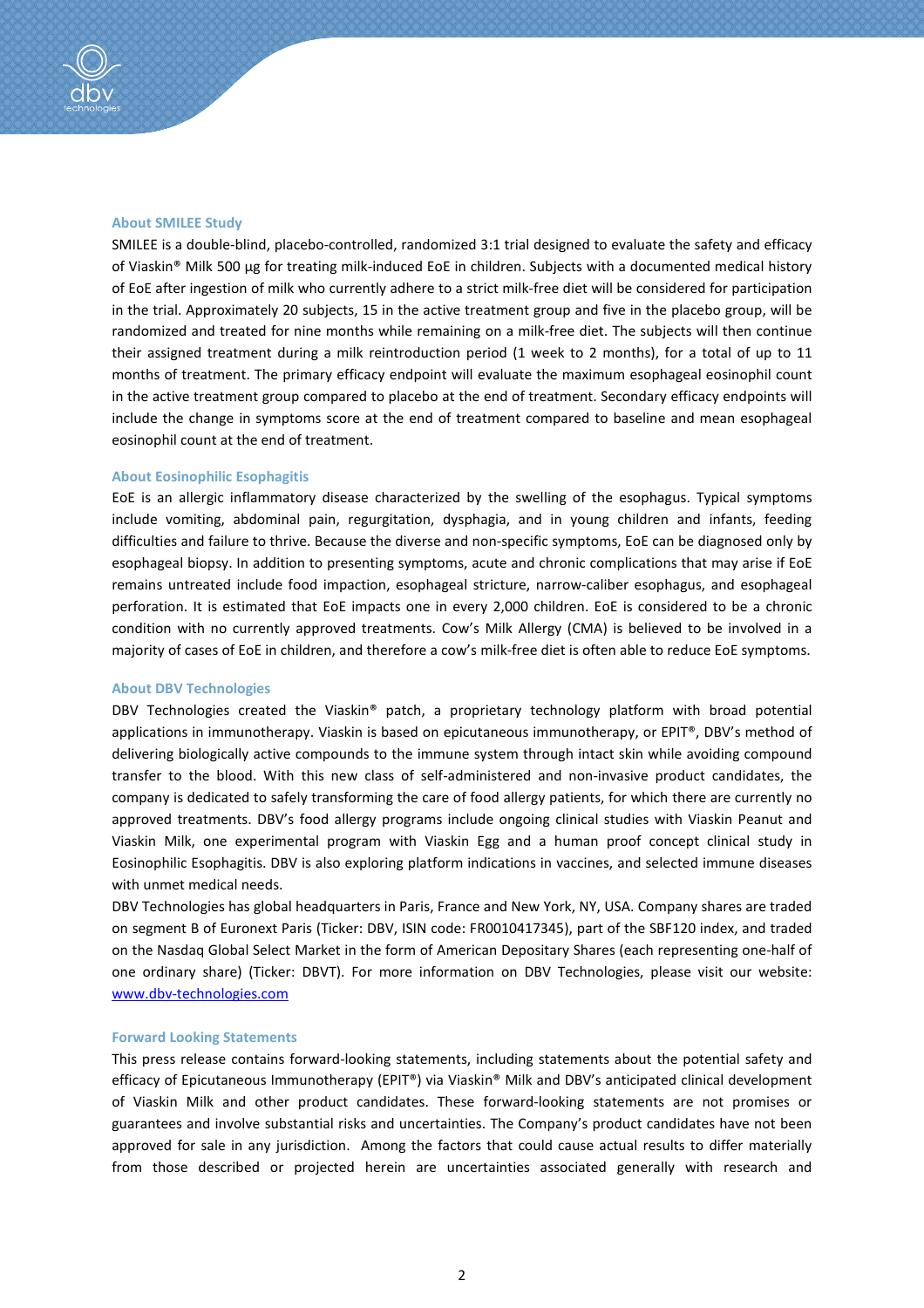# **About SMILEE Study**

SMILEE is a double-blind, placebo-controlled, randomized 3:1 trial designed to evaluate the safety and efficacy of Viaskin® Milk 500 μg for treating milk-induced EoE in children. Subjects with a documented medical history of EoE after ingestion of milk who currently adhere to a strict milk-free diet will be considered for participation in the trial. Approximately 20 subjects, 15 in the active treatment group and five in the placebo group, will be randomized and treated for nine months while remaining on a milk-free diet. The subjects will then continue their assigned treatment during a milk reintroduction period (1 week to 2 months), for a total of up to 11 months of treatment. The primary efficacy endpoint will evaluate the maximum esophageal eosinophil count in the active treatment group compared to placebo at the end of treatment. Secondary efficacy endpoints will include the change in symptoms score at the end of treatment compared to baseline and mean esophageal eosinophil count at the end of treatment.

### **About Eosinophilic Esophagitis**

EoE is an allergic inflammatory disease characterized by the swelling of the esophagus. Typical symptoms include vomiting, abdominal pain, regurgitation, dysphagia, and in young children and infants, feeding difficulties and failure to thrive. Because the diverse and non-specific symptoms, EoE can be diagnosed only by esophageal biopsy. In addition to presenting symptoms, acute and chronic complications that may arise if EoE remains untreated include food impaction, esophageal stricture, narrow-caliber esophagus, and esophageal perforation. It is estimated that EoE impacts one in every 2,000 children. EoE is considered to be a chronic condition with no currently approved treatments. Cow's Milk Allergy (CMA) is believed to be involved in a majority of cases of EoE in children, and therefore a cow's milk-free diet is often able to reduce EoE symptoms.

#### **About DBV Technologies**

DBV Technologies created the Viaskin® patch, a proprietary technology platform with broad potential applications in immunotherapy. Viaskin is based on epicutaneous immunotherapy, or EPIT®, DBV's method of delivering biologically active compounds to the immune system through intact skin while avoiding compound transfer to the blood. With this new class of self-administered and non-invasive product candidates, the company is dedicated to safely transforming the care of food allergy patients, for which there are currently no approved treatments. DBV's food allergy programs include ongoing clinical studies with Viaskin Peanut and Viaskin Milk, one experimental program with Viaskin Egg and a human proof concept clinical study in Eosinophilic Esophagitis. DBV is also exploring platform indications in vaccines, and selected immune diseases with unmet medical needs.

DBV Technologies has global headquarters in Paris, France and New York, NY, USA. Company shares are traded on segment B of Euronext Paris (Ticker: DBV, ISIN code: FR0010417345), part of the SBF120 index, and traded on the Nasdaq Global Select Market in the form of American Depositary Shares (each representing one-half of one ordinary share) (Ticker: DBVT). For more information on DBV Technologies, please visit our website: www.dbv-technologies.com

#### **Forward Looking Statements**

This press release contains forward-looking statements, including statements about the potential safety and efficacy of Epicutaneous Immunotherapy (EPIT®) via Viaskin® Milk and DBV's anticipated clinical development of Viaskin Milk and other product candidates. These forward-looking statements are not promises or guarantees and involve substantial risks and uncertainties. The Company's product candidates have not been approved for sale in any jurisdiction. Among the factors that could cause actual results to differ materially from those described or projected herein are uncertainties associated generally with research and